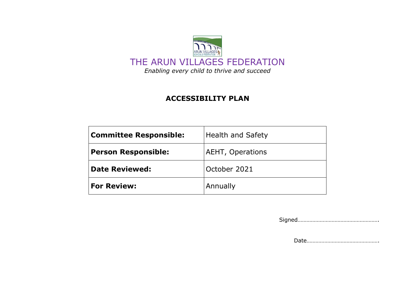

## **ACCESSIBILITY PLAN**

| <b>Committee Responsible:</b> | <b>Health and Safety</b> |  |
|-------------------------------|--------------------------|--|
| <b>Person Responsible:</b>    | AEHT, Operations         |  |
| <b>Date Reviewed:</b>         | October 2021             |  |
| <b>For Review:</b>            | Annually                 |  |

Signed……………………………………………….

Date………………………………………….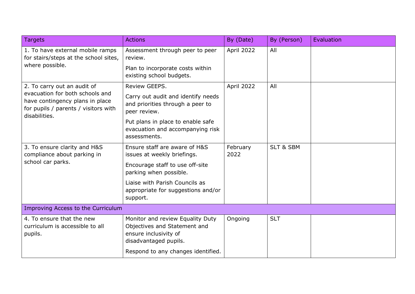| <b>Targets</b>                                                                                                                                             | <b>Actions</b>                                                                                                                                                                                                | By (Date)        | By (Person)          | Evaluation |  |  |
|------------------------------------------------------------------------------------------------------------------------------------------------------------|---------------------------------------------------------------------------------------------------------------------------------------------------------------------------------------------------------------|------------------|----------------------|------------|--|--|
| 1. To have external mobile ramps<br>for stairs/steps at the school sites,<br>where possible.                                                               | Assessment through peer to peer<br>review.<br>Plan to incorporate costs within<br>existing school budgets.                                                                                                    | April 2022       | All                  |            |  |  |
| 2. To carry out an audit of<br>evacuation for both schools and<br>have contingency plans in place<br>for pupils / parents / visitors with<br>disabilities. | Review GEEPS.<br>Carry out audit and identify needs<br>and priorities through a peer to<br>peer review.<br>Put plans in place to enable safe<br>evacuation and accompanying risk<br>assessments.              | April 2022       | All                  |            |  |  |
| 3. To ensure clarity and H&S<br>compliance about parking in<br>school car parks.                                                                           | Ensure staff are aware of H&S<br>issues at weekly briefings.<br>Encourage staff to use off-site<br>parking when possible.<br>Liaise with Parish Councils as<br>appropriate for suggestions and/or<br>support. | February<br>2022 | <b>SLT &amp; SBM</b> |            |  |  |
| Improving Access to the Curriculum                                                                                                                         |                                                                                                                                                                                                               |                  |                      |            |  |  |
| 4. To ensure that the new<br>curriculum is accessible to all<br>pupils.                                                                                    | Monitor and review Equality Duty<br>Objectives and Statement and<br>ensure inclusivity of<br>disadvantaged pupils.<br>Respond to any changes identified.                                                      | Ongoing          | <b>SLT</b>           |            |  |  |